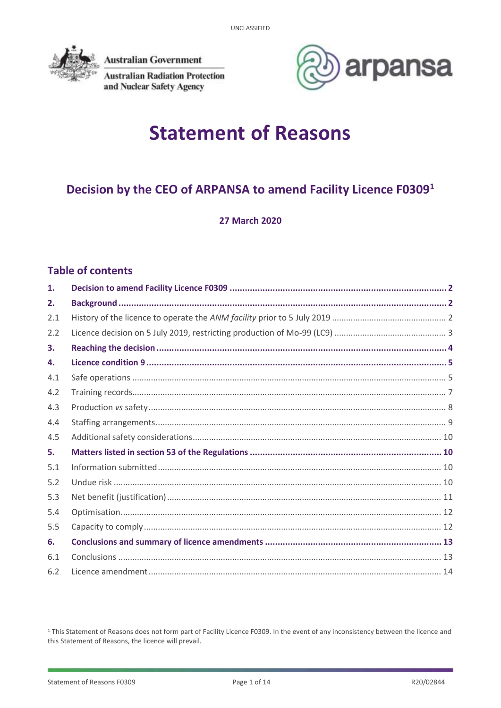

**Australian Government** 

**Australian Radiation Protection** and Nuclear Safety Agency



# **Statement of Reasons**

# Decision by the CEO of ARPANSA to amend Facility Licence F03091

**27 March 2020** 

# **Table of contents**

| 1.  |  |
|-----|--|
| 2.  |  |
| 2.1 |  |
| 2.2 |  |
| 3.  |  |
| 4.  |  |
| 4.1 |  |
| 4.2 |  |
| 4.3 |  |
| 4.4 |  |
| 4.5 |  |
| 5.  |  |
| 5.1 |  |
| 5.2 |  |
| 5.3 |  |
| 5.4 |  |
| 5.5 |  |
| 6.  |  |
| 6.1 |  |
| 6.2 |  |

<sup>&</sup>lt;sup>1</sup> This Statement of Reasons does not form part of Facility Licence F0309. In the event of any inconsistency between the licence and this Statement of Reasons, the licence will prevail.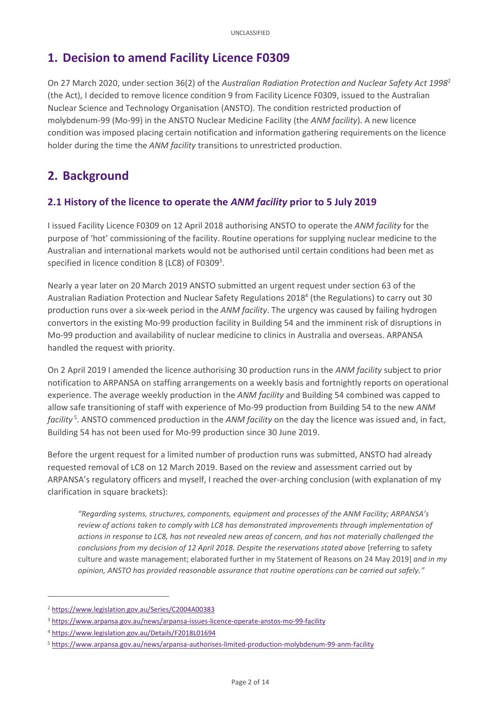# <span id="page-1-0"></span>**1. Decision to amend Facility Licence F0309**

On 27 March 2020, under section 36(2) of the *Australian Radiation Protection and Nuclear Safety Act 1998*<sup>2</sup> (the Act), I decided to remove licence condition 9 from Facility Licence F0309, issued to the Australian Nuclear Science and Technology Organisation (ANSTO). The condition restricted production of molybdenum-99 (Mo-99) in the ANSTO Nuclear Medicine Facility (the *ANM facility*). A new licence condition was imposed placing certain notification and information gathering requirements on the licence holder during the time the *ANM facility* transitions to unrestricted production.

# <span id="page-1-1"></span>**2. Background**

# <span id="page-1-2"></span>**2.1 History of the licence to operate the** *ANM facility* **prior to 5 July 2019**

I issued Facility Licence F0309 on 12 April 2018 authorising ANSTO to operate the *ANM facility* for the purpose of 'hot' commissioning of the facility. Routine operations for supplying nuclear medicine to the Australian and international markets would not be authorised until certain conditions had been met as specified in licence condition 8 (LC8) of  $F0309^3$ .

Nearly a year later on 20 March 2019 ANSTO submitted an urgent request under section 63 of the Australian Radiation Protection and Nuclear Safety Regulations 2018<sup>4</sup> (the Regulations) to carry out 30 production runs over a six-week period in the *ANM facility*. The urgency was caused by failing hydrogen convertors in the existing Mo-99 production facility in Building 54 and the imminent risk of disruptions in Mo-99 production and availability of nuclear medicine to clinics in Australia and overseas. ARPANSA handled the request with priority.

On 2 April 2019 I amended the licence authorising 30 production runs in the *ANM facility* subject to prior notification to ARPANSA on staffing arrangements on a weekly basis and fortnightly reports on operational experience. The average weekly production in the *ANM facility* and Building 54 combined was capped to allow safe transitioning of staff with experience of Mo-99 production from Building 54 to the new *ANM facility* <sup>5</sup> . ANSTO commenced production in the *ANM facility* on the day the licence was issued and, in fact, Building 54 has not been used for Mo-99 production since 30 June 2019.

Before the urgent request for a limited number of production runs was submitted, ANSTO had already requested removal of LC8 on 12 March 2019. Based on the review and assessment carried out by ARPANSA's regulatory officers and myself, I reached the over-arching conclusion (with explanation of my clarification in square brackets):

*"Regarding systems, structures, components, equipment and processes of the ANM Facility; ARPANSA's review of actions taken to comply with LC8 has demonstrated improvements through implementation of actions in response to LC8, has not revealed new areas of concern, and has not materially challenged the conclusions from my decision of 12 April 2018. Despite the reservations stated above* [referring to safety culture and waste management; elaborated further in my Statement of Reasons on 24 May 2019] *and in my opinion, ANSTO has provided reasonable assurance that routine operations can be carried out safely."*

**.** 

<sup>2</sup> <https://www.legislation.gov.au/Series/C2004A00383>

<sup>3</sup> <https://www.arpansa.gov.au/news/arpansa-issues-licence-operate-anstos-mo-99-facility>

<sup>4</sup> <https://www.legislation.gov.au/Details/F2018L01694>

<sup>5</sup> <https://www.arpansa.gov.au/news/arpansa-authorises-limited-production-molybdenum-99-anm-facility>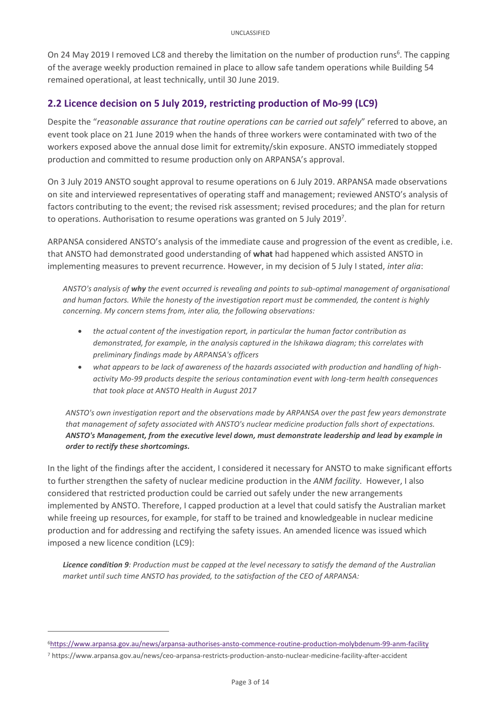On 24 May 2019 I removed LC8 and thereby the limitation on the number of production runs<sup>6</sup>. The capping of the average weekly production remained in place to allow safe tandem operations while Building 54 remained operational, at least technically, until 30 June 2019.

### <span id="page-2-0"></span>**2.2 Licence decision on 5 July 2019, restricting production of Mo-99 (LC9)**

Despite the "*reasonable assurance that routine operations can be carried out safely*" referred to above, an event took place on 21 June 2019 when the hands of three workers were contaminated with two of the workers exposed above the annual dose limit for extremity/skin exposure. ANSTO immediately stopped production and committed to resume production only on ARPANSA's approval.

On 3 July 2019 ANSTO sought approval to resume operations on 6 July 2019. ARPANSA made observations on site and interviewed representatives of operating staff and management; reviewed ANSTO's analysis of factors contributing to the event; the revised risk assessment; revised procedures; and the plan for return to operations. Authorisation to resume operations was granted on 5 July 2019<sup>7</sup>.

ARPANSA considered ANSTO's analysis of the immediate cause and progression of the event as credible, i.e. that ANSTO had demonstrated good understanding of **what** had happened which assisted ANSTO in implementing measures to prevent recurrence. However, in my decision of 5 July I stated, *inter alia*:

*ANSTO's analysis of why the event occurred is revealing and points to sub-optimal management of organisational and human factors. While the honesty of the investigation report must be commended, the content is highly concerning. My concern stems from, inter alia, the following observations:*

- *the actual content of the investigation report, in particular the human factor contribution as demonstrated, for example, in the analysis captured in the Ishikawa diagram; this correlates with preliminary findings made by ARPANSA's officers*
- *what appears to be lack of awareness of the hazards associated with production and handling of highactivity Mo-99 products despite the serious contamination event with long-term health consequences that took place at ANSTO Health in August 2017*

*ANSTO's own investigation report and the observations made by ARPANSA over the past few years demonstrate that management of safety associated with ANSTO's nuclear medicine production falls short of expectations. ANSTO's Management, from the executive level down, must demonstrate leadership and lead by example in order to rectify these shortcomings.*

In the light of the findings after the accident, I considered it necessary for ANSTO to make significant efforts to further strengthen the safety of nuclear medicine production in the *ANM facility*. However, I also considered that restricted production could be carried out safely under the new arrangements implemented by ANSTO. Therefore, I capped production at a level that could satisfy the Australian market while freeing up resources, for example, for staff to be trained and knowledgeable in nuclear medicine production and for addressing and rectifying the safety issues. An amended licence was issued which imposed a new licence condition (LC9):

*Licence condition 9: Production must be capped at the level necessary to satisfy the demand of the Australian market until such time ANSTO has provided, to the satisfaction of the CEO of ARPANSA:*

<u>.</u>

<sup>6</sup><https://www.arpansa.gov.au/news/arpansa-authorises-ansto-commence-routine-production-molybdenum-99-anm-facility>

<sup>7</sup> https://www.arpansa.gov.au/news/ceo-arpansa-restricts-production-ansto-nuclear-medicine-facility-after-accident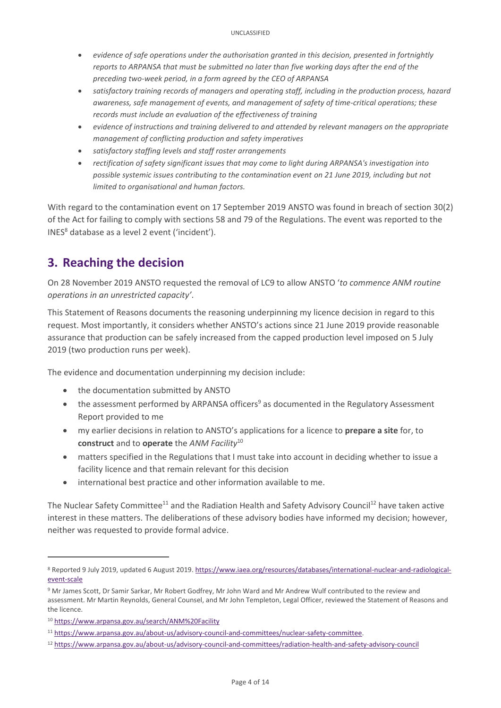- *evidence of safe operations under the authorisation granted in this decision, presented in fortnightly reports to ARPANSA that must be submitted no later than five working days after the end of the preceding two-week period, in a form agreed by the CEO of ARPANSA*
- *satisfactory training records of managers and operating staff, including in the production process, hazard awareness, safe management of events, and management of safety of time-critical operations; these records must include an evaluation of the effectiveness of training*
- *evidence of instructions and training delivered to and attended by relevant managers on the appropriate management of conflicting production and safety imperatives*
- *satisfactory staffing levels and staff roster arrangements*
- *rectification of safety significant issues that may come to light during ARPANSA's investigation into possible systemic issues contributing to the contamination event on 21 June 2019, including but not limited to organisational and human factors.*

With regard to the contamination event on 17 September 2019 ANSTO was found in breach of section 30(2) of the Act for failing to comply with sections 58 and 79 of the Regulations. The event was reported to the  $INES<sup>8</sup>$  database as a level 2 event ('incident').

# <span id="page-3-0"></span>**3. Reaching the decision**

On 28 November 2019 ANSTO requested the removal of LC9 to allow ANSTO '*to commence ANM routine operations in an unrestricted capacity'*.

This Statement of Reasons documents the reasoning underpinning my licence decision in regard to this request. Most importantly, it considers whether ANSTO's actions since 21 June 2019 provide reasonable assurance that production can be safely increased from the capped production level imposed on 5 July 2019 (two production runs per week).

The evidence and documentation underpinning my decision include:

- the documentation submitted by ANSTO
- $\bullet$  the assessment performed by ARPANSA officers<sup>9</sup> as documented in the Regulatory Assessment Report provided to me
- my earlier decisions in relation to ANSTO's applications for a licence to **prepare a site** for, to **construct** and to **operate** the *ANM Facility*<sup>10</sup>
- matters specified in the Regulations that I must take into account in deciding whether to issue a facility licence and that remain relevant for this decision
- international best practice and other information available to me.

The Nuclear Safety Committee<sup>11</sup> and the Radiation Health and Safety Advisory Council<sup>12</sup> have taken active interest in these matters. The deliberations of these advisory bodies have informed my decision; however, neither was requested to provide formal advice.

**.** 

<sup>8</sup> Reported 9 July 2019, updated 6 August 2019[. https://www.iaea.org/resources/databases/international-nuclear-and-radiological](https://www.iaea.org/resources/databases/international-nuclear-and-radiological-event-scale)[event-scale](https://www.iaea.org/resources/databases/international-nuclear-and-radiological-event-scale)

<sup>9</sup> Mr James Scott, Dr Samir Sarkar, Mr Robert Godfrey, Mr John Ward and Mr Andrew Wulf contributed to the review and assessment. Mr Martin Reynolds, General Counsel, and Mr John Templeton, Legal Officer, reviewed the Statement of Reasons and the licence.

<sup>10</sup> <https://www.arpansa.gov.au/search/ANM%20Facility>

<sup>11</sup> [https://www.arpansa.gov.au/about-us/advisory-council-and-committees/nuclear-safety-committee.](https://www.arpansa.gov.au/about-us/advisory-council-and-committees/nuclear-safety-committee) 

<sup>12</sup> <https://www.arpansa.gov.au/about-us/advisory-council-and-committees/radiation-health-and-safety-advisory-council>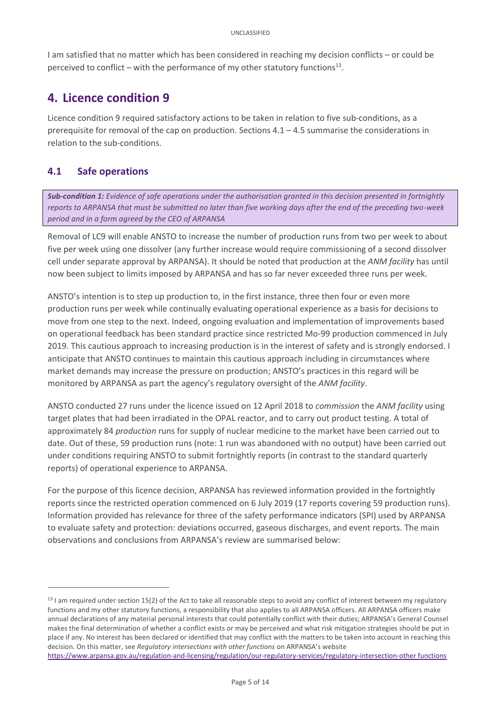I am satisfied that no matter which has been considered in reaching my decision conflicts – or could be perceived to conflict  $-$  with the performance of my other statutory functions<sup>13</sup>.

# <span id="page-4-0"></span>**4. Licence condition 9**

Licence condition 9 required satisfactory actions to be taken in relation to five sub-conditions, as a prerequisite for removal of the cap on production. Sections 4.1 – 4.5 summarise the considerations in relation to the sub-conditions.

# <span id="page-4-1"></span>**4.1 Safe operations**

**.** 

*Sub-condition 1: Evidence of safe operations under the authorisation granted in this decision presented in fortnightly reports to ARPANSA that must be submitted no later than five working days after the end of the preceding two-week period and in a form agreed by the CEO of ARPANSA* 

Removal of LC9 will enable ANSTO to increase the number of production runs from two per week to about five per week using one dissolver (any further increase would require commissioning of a second dissolver cell under separate approval by ARPANSA). It should be noted that production at the *ANM facility* has until now been subject to limits imposed by ARPANSA and has so far never exceeded three runs per week.

ANSTO's intention is to step up production to, in the first instance, three then four or even more production runs per week while continually evaluating operational experience as a basis for decisions to move from one step to the next. Indeed, ongoing evaluation and implementation of improvements based on operational feedback has been standard practice since restricted Mo-99 production commenced in July 2019. This cautious approach to increasing production is in the interest of safety and is strongly endorsed. I anticipate that ANSTO continues to maintain this cautious approach including in circumstances where market demands may increase the pressure on production; ANSTO's practices in this regard will be monitored by ARPANSA as part the agency's regulatory oversight of the *ANM facility*.

ANSTO conducted 27 runs under the licence issued on 12 April 2018 to *commission* the *ANM facility* using target plates that had been irradiated in the OPAL reactor, and to carry out product testing. A total of approximately 84 *production* runs for supply of nuclear medicine to the market have been carried out to date. Out of these, 59 production runs (note: 1 run was abandoned with no output) have been carried out under conditions requiring ANSTO to submit fortnightly reports (in contrast to the standard quarterly reports) of operational experience to ARPANSA.

For the purpose of this licence decision, ARPANSA has reviewed information provided in the fortnightly reports since the restricted operation commenced on 6 July 2019 (17 reports covering 59 production runs). Information provided has relevance for three of the safety performance indicators (SPI) used by ARPANSA to evaluate safety and protection: deviations occurred, gaseous discharges, and event reports. The main observations and conclusions from ARPANSA's review are summarised below:

```
https://www.arpansa.gov.au/regulation-and-licensing/regulation/our-regulatory-services/regulatory-intersection-other functions
```
 $13$  I am required under section 15(2) of the Act to take all reasonable steps to avoid any conflict of interest between my regulatory functions and my other statutory functions, a responsibility that also applies to all ARPANSA officers. All ARPANSA officers make annual declarations of any material personal interests that could potentially conflict with their duties; ARPANSA's General Counsel makes the final determination of whether a conflict exists or may be perceived and what risk mitigation strategies should be put in place if any. No interest has been declared or identified that may conflict with the matters to be taken into account in reaching this decision. On this matter, see *Regulatory intersections with other functions* on ARPANSA's website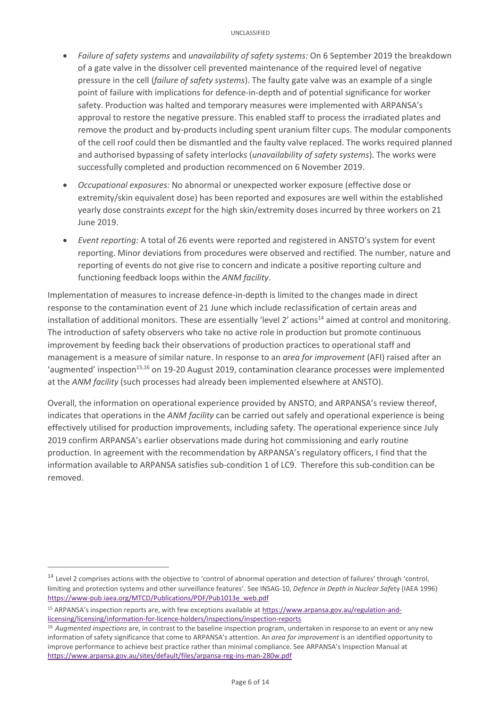- *Failure of safety systems* and *unavailability of safety systems:* On 6 September 2019 the breakdown of a gate valve in the dissolver cell prevented maintenance of the required level of negative pressure in the cell (*failure of safety systems*). The faulty gate valve was an example of a single point of failure with implications for defence-in-depth and of potential significance for worker safety. Production was halted and temporary measures were implemented with ARPANSA's approval to restore the negative pressure. This enabled staff to process the irradiated plates and remove the product and by-products including spent uranium filter cups. The modular components of the cell roof could then be dismantled and the faulty valve replaced. The works required planned and authorised bypassing of safety interlocks (*unavailability of safety systems*). The works were successfully completed and production recommenced on 6 November 2019.
- *Occupational exposures:* No abnormal or unexpected worker exposure (effective dose or extremity/skin equivalent dose) has been reported and exposures are well within the established yearly dose constraints *except* for the high skin/extremity doses incurred by three workers on 21 June 2019.
- *Event reporting:* A total of 26 events were reported and registered in ANSTO's system for event reporting. Minor deviations from procedures were observed and rectified. The number, nature and reporting of events do not give rise to concern and indicate a positive reporting culture and functioning feedback loops within the *ANM facility*.

Implementation of measures to increase defence-in-depth is limited to the changes made in direct response to the contamination event of 21 June which include reclassification of certain areas and installation of additional monitors. These are essentially 'level 2' actions<sup>14</sup> aimed at control and monitoring. The introduction of safety observers who take no active role in production but promote continuous improvement by feeding back their observations of production practices to operational staff and management is a measure of similar nature. In response to an *area for improvement* (AFI) raised after an 'augmented' inspection<sup>15,16</sup> on 19-20 August 2019, contamination clearance processes were implemented at the *ANM facility* (such processes had already been implemented elsewhere at ANSTO).

Overall, the information on operational experience provided by ANSTO, and ARPANSA's review thereof, indicates that operations in the *ANM facility* can be carried out safely and operational experience is being effectively utilised for production improvements, including safety. The operational experience since July 2019 confirm ARPANSA's earlier observations made during hot commissioning and early routine production. In agreement with the recommendation by ARPANSA's regulatory officers, I find that the information available to ARPANSA satisfies sub-condition 1 of LC9. Therefore this sub-condition can be removed.

**.** 

<sup>&</sup>lt;sup>14</sup> Level 2 comprises actions with the objective to 'control of abnormal operation and detection of failures' through 'control, limiting and protection systems and other surveillance features'. See INSAG-10, *Defence in Depth in Nuclear Saf*ety (IAEA 1996) [https://www-pub.iaea.org/MTCD/Publications/PDF/Pub1013e\\_web.pdf](https://www-pub.iaea.org/MTCD/Publications/PDF/Pub1013e_web.pdf)

<sup>15</sup> ARPANSA's inspection reports are, with few exceptions available at [https://www.arpansa.gov.au/regulation-and](https://www.arpansa.gov.au/regulation-and-licensing/licensing/information-for-licence-holders/inspections/inspection-reports)[licensing/licensing/information-for-licence-holders/inspections/inspection-reports](https://www.arpansa.gov.au/regulation-and-licensing/licensing/information-for-licence-holders/inspections/inspection-reports)

<sup>16</sup> *Augmented inspections* are, in contrast to the baseline inspection program, undertaken in response to an event or any new information of safety significance that come to ARPANSA's attention. An *area for improvement* is an identified opportunity to improve performance to achieve best practice rather than minimal compliance. See ARPANSA's Inspection Manual at <https://www.arpansa.gov.au/sites/default/files/arpansa-reg-ins-man-280w.pdf>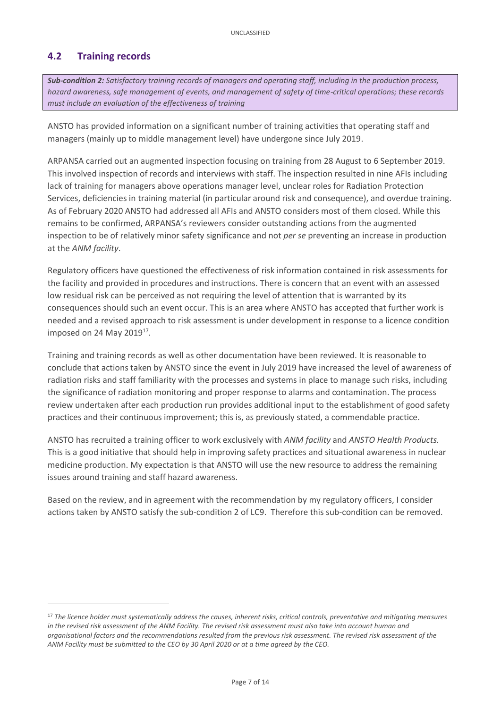# <span id="page-6-0"></span>**4.2 Training records**

**.** 

*Sub-condition 2: Satisfactory training records of managers and operating staff, including in the production process, hazard awareness, safe management of events, and management of safety of time-critical operations; these records must include an evaluation of the effectiveness of training*

ANSTO has provided information on a significant number of training activities that operating staff and managers (mainly up to middle management level) have undergone since July 2019.

ARPANSA carried out an augmented inspection focusing on training from 28 August to 6 September 2019. This involved inspection of records and interviews with staff. The inspection resulted in nine AFIs including lack of training for managers above operations manager level, unclear roles for Radiation Protection Services, deficiencies in training material (in particular around risk and consequence), and overdue training. As of February 2020 ANSTO had addressed all AFIs and ANSTO considers most of them closed. While this remains to be confirmed, ARPANSA's reviewers consider outstanding actions from the augmented inspection to be of relatively minor safety significance and not *per se* preventing an increase in production at the *ANM facility*.

Regulatory officers have questioned the effectiveness of risk information contained in risk assessments for the facility and provided in procedures and instructions. There is concern that an event with an assessed low residual risk can be perceived as not requiring the level of attention that is warranted by its consequences should such an event occur. This is an area where ANSTO has accepted that further work is needed and a revised approach to risk assessment is under development in response to a licence condition imposed on 24 May 2019<sup>17</sup>.

Training and training records as well as other documentation have been reviewed. It is reasonable to conclude that actions taken by ANSTO since the event in July 2019 have increased the level of awareness of radiation risks and staff familiarity with the processes and systems in place to manage such risks, including the significance of radiation monitoring and proper response to alarms and contamination. The process review undertaken after each production run provides additional input to the establishment of good safety practices and their continuous improvement; this is, as previously stated, a commendable practice.

ANSTO has recruited a training officer to work exclusively with *ANM facility* and *ANSTO Health Products.* This is a good initiative that should help in improving safety practices and situational awareness in nuclear medicine production. My expectation is that ANSTO will use the new resource to address the remaining issues around training and staff hazard awareness.

Based on the review, and in agreement with the recommendation by my regulatory officers, I consider actions taken by ANSTO satisfy the sub-condition 2 of LC9. Therefore this sub-condition can be removed.

<sup>17</sup> *The licence holder must systematically address the causes, inherent risks, critical controls, preventative and mitigating measures in the revised risk assessment of the ANM Facility. The revised risk assessment must also take into account human and organisational factors and the recommendations resulted from the previous risk assessment. The revised risk assessment of the ANM Facility must be submitted to the CEO by 30 April 2020 or at a time agreed by the CEO.*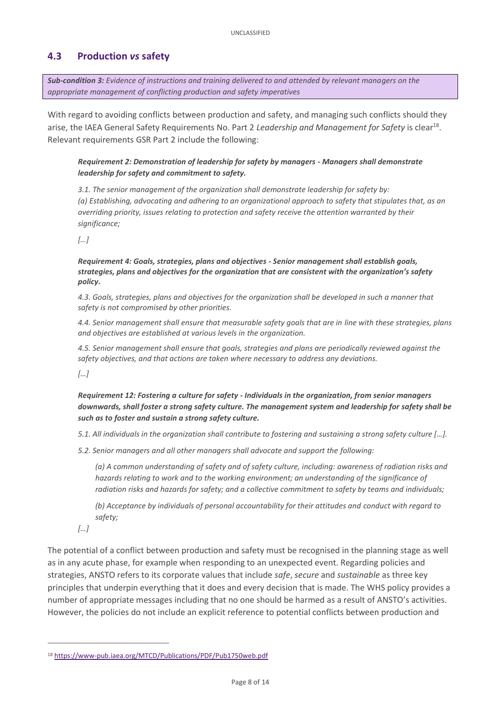## <span id="page-7-0"></span>**4.3 Production** *vs* **safety**

*Sub-condition 3: Evidence of instructions and training delivered to and attended by relevant managers on the appropriate management of conflicting production and safety imperatives*

With regard to avoiding conflicts between production and safety, and managing such conflicts should they arise, the IAEA General Safety Requirements No. Part 2 Leadership and Management for Safety is clear<sup>18</sup>. Relevant requirements GSR Part 2 include the following:

#### *Requirement 2: Demonstration of leadership for safety by managers - Managers shall demonstrate leadership for safety and commitment to safety.*

*3.1. The senior management of the organization shall demonstrate leadership for safety by: (a) Establishing, advocating and adhering to an organizational approach to safety that stipulates that, as an overriding priority, issues relating to protection and safety receive the attention warranted by their significance;*

*[…]*

*Requirement 4: Goals, strategies, plans and objectives - Senior management shall establish goals, strategies, plans and objectives for the organization that are consistent with the organization's safety policy.*

*4.3. Goals, strategies, plans and objectives for the organization shall be developed in such a manner that safety is not compromised by other priorities.*

*4.4. Senior management shall ensure that measurable safety goals that are in line with these strategies, plans and objectives are established at various levels in the organization.*

*4.5. Senior management shall ensure that goals, strategies and plans are periodically reviewed against the safety objectives, and that actions are taken where necessary to address any deviations.*

*[…]*

*Requirement 12: Fostering a culture for safety - Individuals in the organization, from senior managers downwards, shall foster a strong safety culture. The management system and leadership for safety shall be such as to foster and sustain a strong safety culture.*

*5.1. All individuals in the organization shall contribute to fostering and sustaining a strong safety culture […].*

*5.2. Senior managers and all other managers shall advocate and support the following:*

*(a) A common understanding of safety and of safety culture, including: awareness of radiation risks and hazards relating to work and to the working environment; an understanding of the significance of radiation risks and hazards for safety; and a collective commitment to safety by teams and individuals;*

*(b) Acceptance by individuals of personal accountability for their attitudes and conduct with regard to safety;*

*[…]*

**.** 

The potential of a conflict between production and safety must be recognised in the planning stage as well as in any acute phase, for example when responding to an unexpected event. Regarding policies and strategies, ANSTO refers to its corporate values that include *safe*, *secure* and *sustainable* as three key principles that underpin everything that it does and every decision that is made. The WHS policy provides a number of appropriate messages including that no one should be harmed as a result of ANSTO's activities. However, the policies do not include an explicit reference to potential conflicts between production and

<sup>18</sup> <https://www-pub.iaea.org/MTCD/Publications/PDF/Pub1750web.pdf>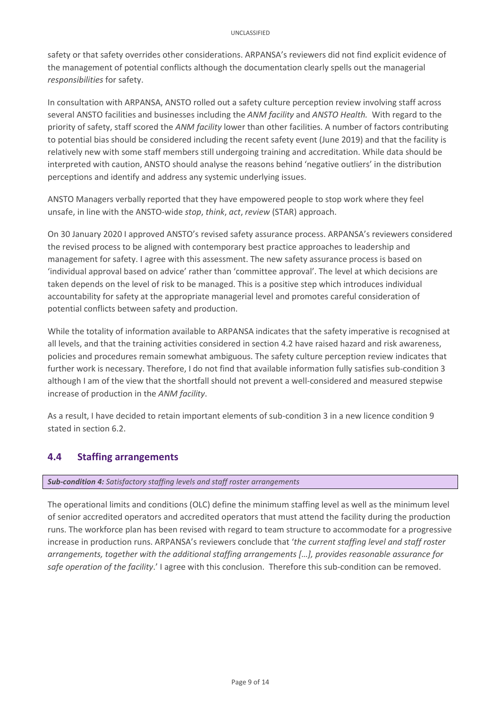safety or that safety overrides other considerations. ARPANSA's reviewers did not find explicit evidence of the management of potential conflicts although the documentation clearly spells out the managerial *responsibilities* for safety.

In consultation with ARPANSA, ANSTO rolled out a safety culture perception review involving staff across several ANSTO facilities and businesses including the *ANM facility* and *ANSTO Health.* With regard to the priority of safety, staff scored the *ANM facility* lower than other facilities. A number of factors contributing to potential bias should be considered including the recent safety event (June 2019) and that the facility is relatively new with some staff members still undergoing training and accreditation. While data should be interpreted with caution, ANSTO should analyse the reasons behind 'negative outliers' in the distribution perceptions and identify and address any systemic underlying issues.

ANSTO Managers verbally reported that they have empowered people to stop work where they feel unsafe, in line with the ANSTO-wide *stop*, *think*, *act*, *review* (STAR) approach.

On 30 January 2020 I approved ANSTO's revised safety assurance process. ARPANSA's reviewers considered the revised process to be aligned with contemporary best practice approaches to leadership and management for safety. I agree with this assessment. The new safety assurance process is based on 'individual approval based on advice' rather than 'committee approval'. The level at which decisions are taken depends on the level of risk to be managed. This is a positive step which introduces individual accountability for safety at the appropriate managerial level and promotes careful consideration of potential conflicts between safety and production.

While the totality of information available to ARPANSA indicates that the safety imperative is recognised at all levels, and that the training activities considered in section 4.2 have raised hazard and risk awareness, policies and procedures remain somewhat ambiguous. The safety culture perception review indicates that further work is necessary. Therefore, I do not find that available information fully satisfies sub-condition 3 although I am of the view that the shortfall should not prevent a well-considered and measured stepwise increase of production in the *ANM facility*.

As a result, I have decided to retain important elements of sub-condition 3 in a new licence condition 9 stated in section 6.2.

### <span id="page-8-0"></span>**4.4 Staffing arrangements**

#### *Sub-condition 4: Satisfactory staffing levels and staff roster arrangements*

<span id="page-8-1"></span>The operational limits and conditions (OLC) define the minimum staffing level as well as the minimum level of senior accredited operators and accredited operators that must attend the facility during the production runs. The workforce plan has been revised with regard to team structure to accommodate for a progressive increase in production runs. ARPANSA's reviewers conclude that '*the current staffing level and staff roster arrangements, together with the additional staffing arrangements […], provides reasonable assurance for safe operation of the facility*.' I agree with this conclusion. Therefore this sub-condition can be removed.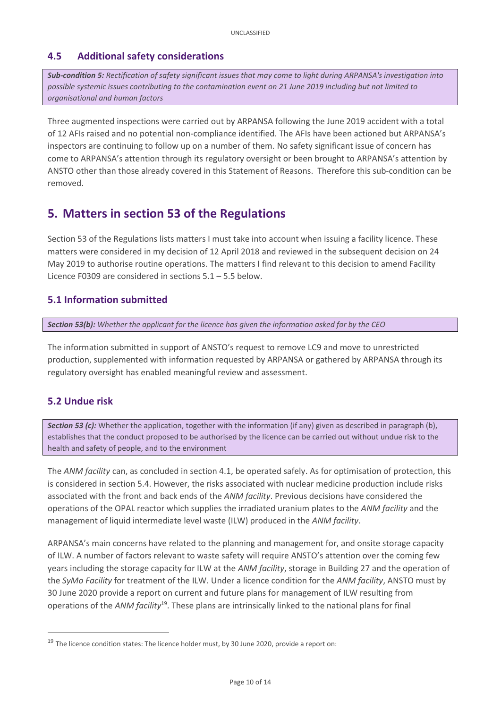## **4.5 Additional safety considerations**

*Sub-condition 5: Rectification of safety significant issues that may come to light during ARPANSA's investigation into possible systemic issues contributing to the contamination event on 21 June 2019 including but not limited to organisational and human factors*

Three augmented inspections were carried out by ARPANSA following the June 2019 accident with a total of 12 AFIs raised and no potential non-compliance identified. The AFIs have been actioned but ARPANSA's inspectors are continuing to follow up on a number of them. No safety significant issue of concern has come to ARPANSA's attention through its regulatory oversight or been brought to ARPANSA's attention by ANSTO other than those already covered in this Statement of Reasons. Therefore this sub-condition can be removed.

# <span id="page-9-0"></span>**5. Matters in section 53 of the Regulations**

Section 53 of the Regulations lists matters I must take into account when issuing a facility licence. These matters were considered in my decision of 12 April 2018 and reviewed in the subsequent decision on 24 May 2019 to authorise routine operations. The matters I find relevant to this decision to amend Facility Licence F0309 are considered in sections 5.1 – 5.5 below.

### <span id="page-9-1"></span>**5.1 Information submitted**

*Section 53(b): Whether the applicant for the licence has given the information asked for by the CEO*

The information submitted in support of ANSTO's request to remove LC9 and move to unrestricted production, supplemented with information requested by ARPANSA or gathered by ARPANSA through its regulatory oversight has enabled meaningful review and assessment.

### <span id="page-9-2"></span>**5.2 Undue risk**

**.** 

**Section 53 (c):** Whether the application, together with the information (if any) given as described in paragraph (b), establishes that the conduct proposed to be authorised by the licence can be carried out without undue risk to the health and safety of people, and to the environment

The *ANM facility* can, as concluded in section 4.1, be operated safely. As for optimisation of protection, this is considered in section 5.4. However, the risks associated with nuclear medicine production include risks associated with the front and back ends of the *ANM facility*. Previous decisions have considered the operations of the OPAL reactor which supplies the irradiated uranium plates to the *ANM facility* and the management of liquid intermediate level waste (ILW) produced in the *ANM facility*.

ARPANSA's main concerns have related to the planning and management for, and onsite storage capacity of ILW. A number of factors relevant to waste safety will require ANSTO's attention over the coming few years including the storage capacity for ILW at the *ANM facility*, storage in Building 27 and the operation of the *SyMo Facility* for treatment of the ILW. Under a licence condition for the *ANM facility*, ANSTO must by 30 June 2020 provide a report on current and future plans for management of ILW resulting from operations of the *ANM facility*<sup>19</sup>. These plans are intrinsically linked to the national plans for final

<sup>&</sup>lt;sup>19</sup> The licence condition states: The licence holder must, by 30 June 2020, provide a report on: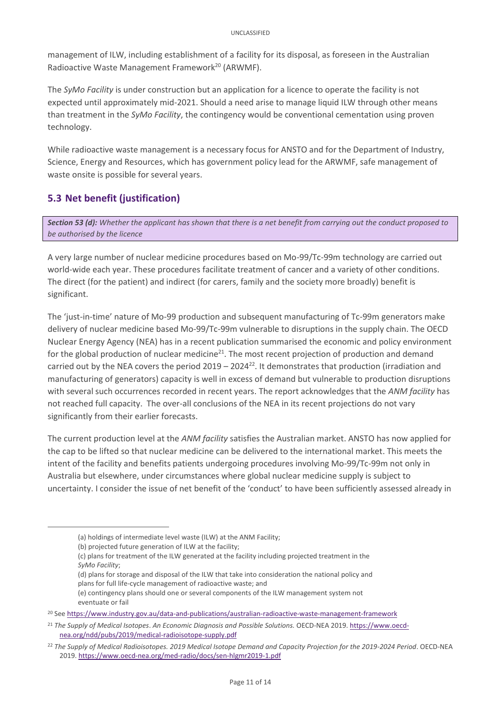management of ILW, including establishment of a facility for its disposal, as foreseen in the Australian Radioactive Waste Management Framework<sup>20</sup> (ARWMF).

The *SyMo Facility* is under construction but an application for a licence to operate the facility is not expected until approximately mid-2021. Should a need arise to manage liquid ILW through other means than treatment in the *SyMo Facility*, the contingency would be conventional cementation using proven technology.

While radioactive waste management is a necessary focus for ANSTO and for the Department of Industry, Science, Energy and Resources, which has government policy lead for the ARWMF, safe management of waste onsite is possible for several years.

# <span id="page-10-0"></span>**5.3 Net benefit (justification)**

*Section 53 (d): Whether the applicant has shown that there is a net benefit from carrying out the conduct proposed to be authorised by the licence* 

A very large number of nuclear medicine procedures based on Mo-99/Tc-99m technology are carried out world-wide each year. These procedures facilitate treatment of cancer and a variety of other conditions. The direct (for the patient) and indirect (for carers, family and the society more broadly) benefit is significant.

The 'just-in-time' nature of Mo-99 production and subsequent manufacturing of Tc-99m generators make delivery of nuclear medicine based Mo-99/Tc-99m vulnerable to disruptions in the supply chain. The OECD Nuclear Energy Agency (NEA) has in a recent publication summarised the economic and policy environment for the global production of nuclear medicine<sup>21</sup>. The most recent projection of production and demand carried out by the NEA covers the period  $2019 - 2024^{22}$ . It demonstrates that production (irradiation and manufacturing of generators) capacity is well in excess of demand but vulnerable to production disruptions with several such occurrences recorded in recent years. The report acknowledges that the *ANM facility* has not reached full capacity. The over-all conclusions of the NEA in its recent projections do not vary significantly from their earlier forecasts.

The current production level at the *ANM facility* satisfies the Australian market. ANSTO has now applied for the cap to be lifted so that nuclear medicine can be delivered to the international market. This meets the intent of the facility and benefits patients undergoing procedures involving Mo-99/Tc-99m not only in Australia but elsewhere, under circumstances where global nuclear medicine supply is subject to uncertainty. I consider the issue of net benefit of the 'conduct' to have been sufficiently assessed already in

**.** 

(d) plans for storage and disposal of the ILW that take into consideration the national policy and plans for full life-cycle management of radioactive waste; and

<sup>(</sup>a) holdings of intermediate level waste (ILW) at the ANM Facility;

<sup>(</sup>b) projected future generation of ILW at the facility;

<sup>(</sup>c) plans for treatment of the ILW generated at the facility including projected treatment in the *SyMo Facility*;

<sup>(</sup>e) contingency plans should one or several components of the ILW management system not eventuate or fail

<sup>20</sup> See<https://www.industry.gov.au/data-and-publications/australian-radioactive-waste-management-framework>

<sup>21</sup> *The Supply of Medical Isotopes*. *An Economic Diagnosis and Possible Solutions.* OECD-NEA 2019. [https://www.oecd](https://www.oecd-nea.org/ndd/pubs/2019/medical-radioisotope-supply.pdf)[nea.org/ndd/pubs/2019/medical-radioisotope-supply.pdf](https://www.oecd-nea.org/ndd/pubs/2019/medical-radioisotope-supply.pdf)

<sup>22</sup> *The Supply of Medical Radioisotopes. 2019 Medical Isotope Demand and Capacity Projection for the 2019-2024 Period*. OECD-NEA 2019[. https://www.oecd-nea.org/med-radio/docs/sen-hlgmr2019-1.pdf](https://www.oecd-nea.org/med-radio/docs/sen-hlgmr2019-1.pdf)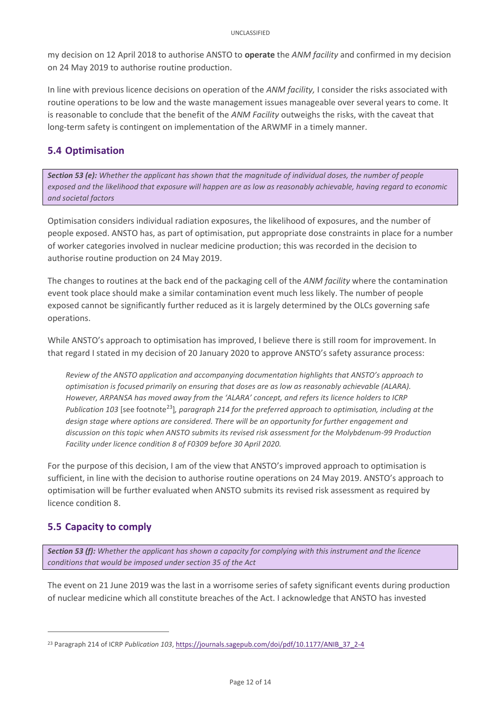my decision on 12 April 2018 to authorise ANSTO to **operate** the *ANM facility* and confirmed in my decision on 24 May 2019 to authorise routine production.

In line with previous licence decisions on operation of the *ANM facility,* I consider the risks associated with routine operations to be low and the waste management issues manageable over several years to come. It is reasonable to conclude that the benefit of the *ANM Facility* outweighs the risks, with the caveat that long-term safety is contingent on implementation of the ARWMF in a timely manner.

## <span id="page-11-0"></span>**5.4 Optimisation**

*Section 53 (e): Whether the applicant has shown that the magnitude of individual doses, the number of people exposed and the likelihood that exposure will happen are as low as reasonably achievable, having regard to economic and societal factors*

Optimisation considers individual radiation exposures, the likelihood of exposures, and the number of people exposed. ANSTO has, as part of optimisation, put appropriate dose constraints in place for a number of worker categories involved in nuclear medicine production; this was recorded in the decision to authorise routine production on 24 May 2019.

The changes to routines at the back end of the packaging cell of the *ANM facility* where the contamination event took place should make a similar contamination event much less likely. The number of people exposed cannot be significantly further reduced as it is largely determined by the OLCs governing safe operations.

While ANSTO's approach to optimisation has improved, I believe there is still room for improvement. In that regard I stated in my decision of 20 January 2020 to approve ANSTO's safety assurance process:

*Review of the ANSTO application and accompanying documentation highlights that ANSTO's approach to optimisation is focused primarily on ensuring that doses are as low as reasonably achievable (ALARA). However, ARPANSA has moved away from the 'ALARA' concept, and refers its licence holders to ICRP Publication 103* [see footnote<sup>23</sup>], paragraph 214 for the preferred approach to optimisation, including at the *design stage where options are considered. There will be an opportunity for further engagement and discussion on this topic when ANSTO submits its revised risk assessment for the Molybdenum-99 Production Facility under licence condition 8 of F0309 before 30 April 2020.*

For the purpose of this decision, I am of the view that ANSTO's improved approach to optimisation is sufficient, in line with the decision to authorise routine operations on 24 May 2019. ANSTO's approach to optimisation will be further evaluated when ANSTO submits its revised risk assessment as required by licence condition 8.

# <span id="page-11-1"></span>**5.5 Capacity to comply**

**.** 

*Section 53 (f): Whether the applicant has shown a capacity for complying with this instrument and the licence conditions that would be imposed under section 35 of the Act*

The event on 21 June 2019 was the last in a worrisome series of safety significant events during production of nuclear medicine which all constitute breaches of the Act. I acknowledge that ANSTO has invested

<sup>23</sup> Paragraph 214 of ICRP *Publication 103*, [https://journals.sagepub.com/doi/pdf/10.1177/ANIB\\_37\\_2-4](https://journals.sagepub.com/doi/pdf/10.1177/ANIB_37_2-4)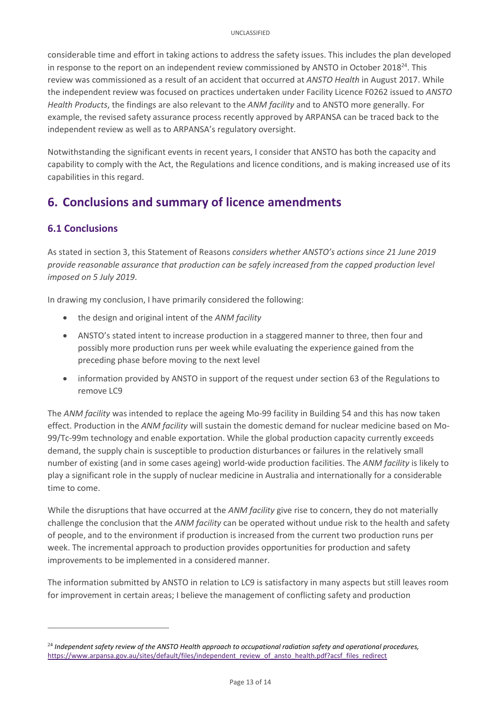considerable time and effort in taking actions to address the safety issues. This includes the plan developed in response to the report on an independent review commissioned by ANSTO in October 2018<sup>24</sup>. This review was commissioned as a result of an accident that occurred at *ANSTO Health* in August 2017. While the independent review was focused on practices undertaken under Facility Licence F0262 issued to *ANSTO Health Products*, the findings are also relevant to the *ANM facility* and to ANSTO more generally. For example, the revised safety assurance process recently approved by ARPANSA can be traced back to the independent review as well as to ARPANSA's regulatory oversight.

Notwithstanding the significant events in recent years, I consider that ANSTO has both the capacity and capability to comply with the Act, the Regulations and licence conditions, and is making increased use of its capabilities in this regard.

# <span id="page-12-0"></span>**6. Conclusions and summary of licence amendments**

# <span id="page-12-1"></span>**6.1 Conclusions**

**.** 

As stated in section 3, this Statement of Reasons *considers whether ANSTO's actions since 21 June 2019 provide reasonable assurance that production can be safely increased from the capped production level imposed on 5 July 2019*.

In drawing my conclusion, I have primarily considered the following:

- the design and original intent of the *ANM facility*
- ANSTO's stated intent to increase production in a staggered manner to three, then four and possibly more production runs per week while evaluating the experience gained from the preceding phase before moving to the next level
- information provided by ANSTO in support of the request under section 63 of the Regulations to remove LC9

The *ANM facility* was intended to replace the ageing Mo-99 facility in Building 54 and this has now taken effect. Production in the *ANM facility* will sustain the domestic demand for nuclear medicine based on Mo-99/Tc-99m technology and enable exportation. While the global production capacity currently exceeds demand, the supply chain is susceptible to production disturbances or failures in the relatively small number of existing (and in some cases ageing) world-wide production facilities. The *ANM facility* is likely to play a significant role in the supply of nuclear medicine in Australia and internationally for a considerable time to come.

While the disruptions that have occurred at the *ANM facility* give rise to concern, they do not materially challenge the conclusion that the *ANM facility* can be operated without undue risk to the health and safety of people, and to the environment if production is increased from the current two production runs per week. The incremental approach to production provides opportunities for production and safety improvements to be implemented in a considered manner.

The information submitted by ANSTO in relation to LC9 is satisfactory in many aspects but still leaves room for improvement in certain areas; I believe the management of conflicting safety and production

<sup>24</sup> *Independent safety review of the ANSTO Health approach to occupational radiation safety and operational procedures,*  [https://www.arpansa.gov.au/sites/default/files/independent\\_review\\_of\\_ansto\\_health.pdf?acsf\\_files\\_redirect](https://www.arpansa.gov.au/sites/default/files/independent_review_of_ansto_health.pdf?acsf_files_redirect)